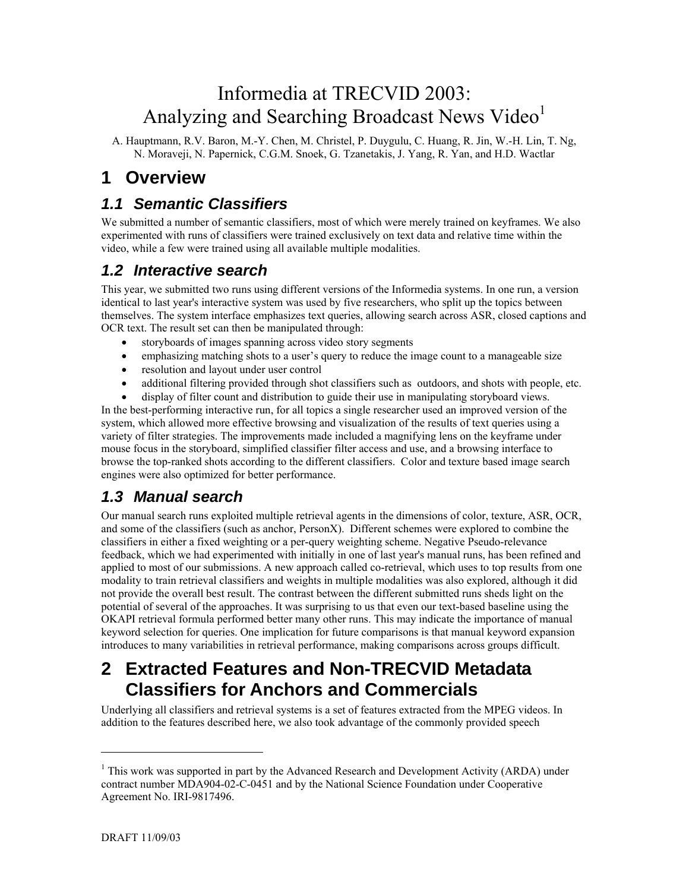# Informedia at TRECVID 2003: Analyzing and Searching Broadcast News Video<sup>[1](#page-0-0)</sup>

A. Hauptmann, R.V. Baron, M.-Y. Chen, M. Christel, P. Duygulu, C. Huang, R. Jin, W.-H. Lin, T. Ng, N. Moraveji, N. Papernick, C.G.M. Snoek, G. Tzanetakis, J. Yang, R. Yan, and H.D. Wactlar

## **1 Overview**

### *1.1 Semantic Classifiers*

We submitted a number of semantic classifiers, most of which were merely trained on keyframes. We also experimented with runs of classifiers were trained exclusively on text data and relative time within the video, while a few were trained using all available multiple modalities.

### *1.2 Interactive search*

This year, we submitted two runs using different versions of the Informedia systems. In one run, a version identical to last year's interactive system was used by five researchers, who split up the topics between themselves. The system interface emphasizes text queries, allowing search across ASR, closed captions and OCR text. The result set can then be manipulated through:

- storyboards of images spanning across video story segments
- emphasizing matching shots to a user's query to reduce the image count to a manageable size
- resolution and layout under user control
- additional filtering provided through shot classifiers such as outdoors, and shots with people, etc.

• display of filter count and distribution to guide their use in manipulating storyboard views. In the best-performing interactive run, for all topics a single researcher used an improved version of the system, which allowed more effective browsing and visualization of the results of text queries using a variety of filter strategies. The improvements made included a magnifying lens on the keyframe under mouse focus in the storyboard, simplified classifier filter access and use, and a browsing interface to browse the top-ranked shots according to the different classifiers. Color and texture based image search engines were also optimized for better performance.

### *1.3 Manual search*

Our manual search runs exploited multiple retrieval agents in the dimensions of color, texture, ASR, OCR, and some of the classifiers (such as anchor, PersonX). Different schemes were explored to combine the classifiers in either a fixed weighting or a per-query weighting scheme. Negative Pseudo-relevance feedback, which we had experimented with initially in one of last year's manual runs, has been refined and applied to most of our submissions. A new approach called co-retrieval, which uses to top results from one modality to train retrieval classifiers and weights in multiple modalities was also explored, although it did not provide the overall best result. The contrast between the different submitted runs sheds light on the potential of several of the approaches. It was surprising to us that even our text-based baseline using the OKAPI retrieval formula performed better many other runs. This may indicate the importance of manual keyword selection for queries. One implication for future comparisons is that manual keyword expansion introduces to many variabilities in retrieval performance, making comparisons across groups difficult.

# **2 Extracted Features and Non-TRECVID Metadata Classifiers for Anchors and Commercials**

Underlying all classifiers and retrieval systems is a set of features extracted from the MPEG videos. In addition to the features described here, we also took advantage of the commonly provided speech

l

<span id="page-0-0"></span><sup>&</sup>lt;sup>1</sup> This work was supported in part by the Advanced Research and Development Activity (ARDA) under contract number MDA904-02-C-0451 and by the National Science Foundation under Cooperative Agreement No. IRI-9817496.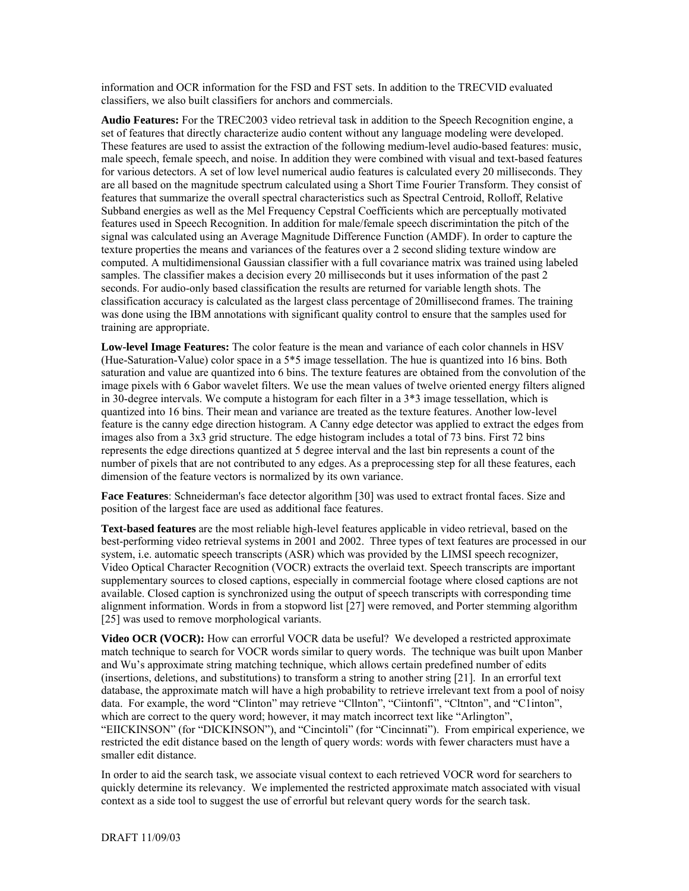information and OCR information for the FSD and FST sets. In addition to the TRECVID evaluated classifiers, we also built classifiers for anchors and commercials.

**Audio Features:** For the TREC2003 video retrieval task in addition to the Speech Recognition engine, a set of features that directly characterize audio content without any language modeling were developed. These features are used to assist the extraction of the following medium-level audio-based features: music, male speech, female speech, and noise. In addition they were combined with visual and text-based features for various detectors. A set of low level numerical audio features is calculated every 20 milliseconds. They are all based on the magnitude spectrum calculated using a Short Time Fourier Transform. They consist of features that summarize the overall spectral characteristics such as Spectral Centroid, Rolloff, Relative Subband energies as well as the Mel Frequency Cepstral Coefficients which are perceptually motivated features used in Speech Recognition. In addition for male/female speech discrimintation the pitch of the signal was calculated using an Average Magnitude Difference Function (AMDF). In order to capture the texture properties the means and variances of the features over a 2 second sliding texture window are computed. A multidimensional Gaussian classifier with a full covariance matrix was trained using labeled samples. The classifier makes a decision every 20 milliseconds but it uses information of the past 2 seconds. For audio-only based classification the results are returned for variable length shots. The classification accuracy is calculated as the largest class percentage of 20millisecond frames. The training was done using the IBM annotations with significant quality control to ensure that the samples used for training are appropriate.

**Low-level Image Features:** The color feature is the mean and variance of each color channels in HSV (Hue-Saturation-Value) color space in a 5\*5 image tessellation. The hue is quantized into 16 bins. Both saturation and value are quantized into 6 bins. The texture features are obtained from the convolution of the image pixels with 6 Gabor wavelet filters. We use the mean values of twelve oriented energy filters aligned in 30-degree intervals. We compute a histogram for each filter in a 3\*3 image tessellation, which is quantized into 16 bins. Their mean and variance are treated as the texture features. Another low-level feature is the canny edge direction histogram. A Canny edge detector was applied to extract the edges from images also from a 3x3 grid structure. The edge histogram includes a total of 73 bins. First 72 bins represents the edge directions quantized at 5 degree interval and the last bin represents a count of the number of pixels that are not contributed to any edges. As a preprocessing step for all these features, each dimension of the feature vectors is normalized by its own variance.

**Face Features**: Schneiderman's face detector algorithm [30] was used to extract frontal faces. Size and position of the largest face are used as additional face features.

**Text-based features** are the most reliable high-level features applicable in video retrieval, based on the best-performing video retrieval systems in 2001 and 2002. Three types of text features are processed in our system, i.e. automatic speech transcripts (ASR) which was provided by the LIMSI speech recognizer, Video Optical Character Recognition (VOCR) extracts the overlaid text. Speech transcripts are important supplementary sources to closed captions, especially in commercial footage where closed captions are not available. Closed caption is synchronized using the output of speech transcripts with corresponding time alignment information. Words in from a stopword list [27] were removed, and Porter stemming algorithm [25] was used to remove morphological variants.

**Video OCR (VOCR):** How can errorful VOCR data be useful? We developed a restricted approximate match technique to search for VOCR words similar to query words. The technique was built upon Manber and Wu's approximate string matching technique, which allows certain predefined number of edits (insertions, deletions, and substitutions) to transform a string to another string [21]. In an errorful text database, the approximate match will have a high probability to retrieve irrelevant text from a pool of noisy data. For example, the word "Clinton" may retrieve "Cllnton", "Ciintonfi", "Cltnton", and "C1inton", which are correct to the query word; however, it may match incorrect text like "Arlington", "EIICKINSON" (for "DICKINSON"), and "Cincintoli" (for "Cincinnati"). From empirical experience, we restricted the edit distance based on the length of query words: words with fewer characters must have a smaller edit distance.

In order to aid the search task, we associate visual context to each retrieved VOCR word for searchers to quickly determine its relevancy. We implemented the restricted approximate match associated with visual context as a side tool to suggest the use of errorful but relevant query words for the search task.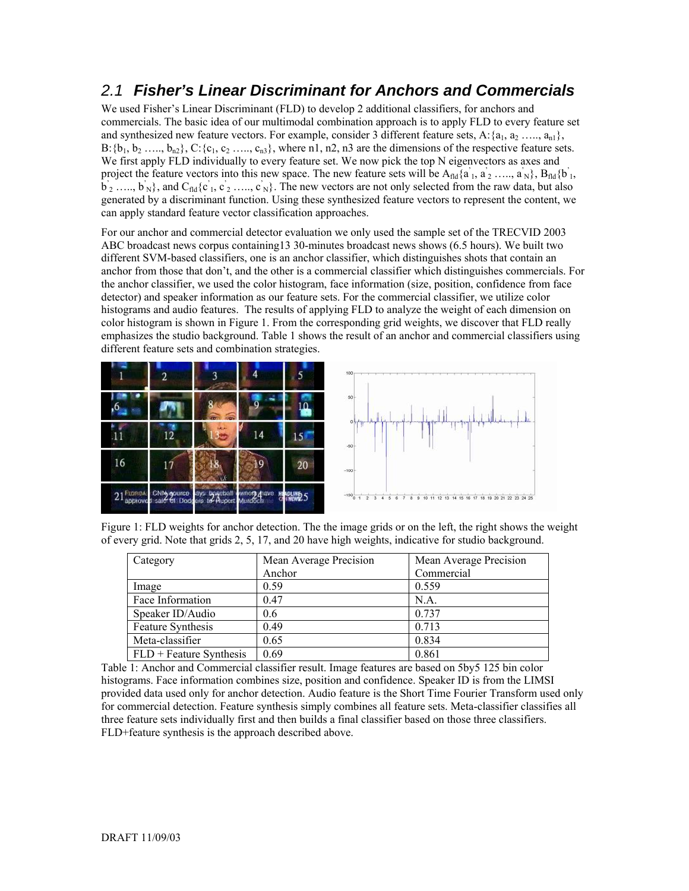### *2.1 Fisher's Linear Discriminant for Anchors and Commercials*

We used Fisher's Linear Discriminant (FLD) to develop 2 additional classifiers, for anchors and commercials. The basic idea of our multimodal combination approach is to apply FLD to every feature set and synthesized new feature vectors. For example, consider 3 different feature sets, A: $\{a_1, a_2, \ldots, a_n\}$ ,  $B: \{b_1, b_2, \ldots, b_{n2}\}, C: \{c_1, c_2, \ldots, c_{n3}\},$  where n1, n2, n3 are the dimensions of the respective feature sets. We first apply FLD individually to every feature set. We now pick the top N eigenvectors as axes and project the feature vectors into this new space. The new feature sets will be  $A_{\text{fid}}\{a_1, a_2, \ldots, a_N\}$ ,  $B_{\text{fid}}\{b_1, b_2, \ldots, b_N\}$  $\vec{b}_2$  ....,  $\vec{b}_N$ }, and  $C_{\text{fid}}\{\vec{c}_1, \vec{c}_2, ..., \vec{c}_N\}$ . The new vectors are not only selected from the raw data, but also generated by a discriminant function. Using these synthesized feature vectors to represent the content, we can apply standard feature vector classification approaches.

For our anchor and commercial detector evaluation we only used the sample set of the TRECVID 2003 ABC broadcast news corpus containing13 30-minutes broadcast news shows (6.5 hours). We built two different SVM-based classifiers, one is an anchor classifier, which distinguishes shots that contain an anchor from those that don't, and the other is a commercial classifier which distinguishes commercials. For the anchor classifier, we used the color histogram, face information (size, position, confidence from face detector) and speaker information as our feature sets. For the commercial classifier, we utilize color histograms and audio features. The results of applying FLD to analyze the weight of each dimension on color histogram is shown in Figure 1. From the corresponding grid weights, we discover that FLD really emphasizes the studio background. Table 1 shows the result of an anchor and commercial classifiers using different feature sets and combination strategies.





Figure 1: FLD weights for anchor detection. The the image grids or on the left, the right shows the weight of every grid. Note that grids 2, 5, 17, and 20 have high weights, indicative for studio background.

| Category                  | Mean Average Precision | Mean Average Precision |
|---------------------------|------------------------|------------------------|
|                           | Anchor                 | Commercial             |
| Image                     | 0.59                   | 0.559                  |
| Face Information          | 0.47                   | N.A.                   |
| Speaker ID/Audio          | 0.6                    | 0.737                  |
| Feature Synthesis         | 0.49                   | 0.713                  |
| Meta-classifier           | 0.65                   | 0.834                  |
| $FLD + Feature Synthesis$ | 0.69                   | 0.861                  |

Table 1: Anchor and Commercial classifier result. Image features are based on 5by5 125 bin color histograms. Face information combines size, position and confidence. Speaker ID is from the LIMSI provided data used only for anchor detection. Audio feature is the Short Time Fourier Transform used only for commercial detection. Feature synthesis simply combines all feature sets. Meta-classifier classifies all three feature sets individually first and then builds a final classifier based on those three classifiers. FLD+feature synthesis is the approach described above.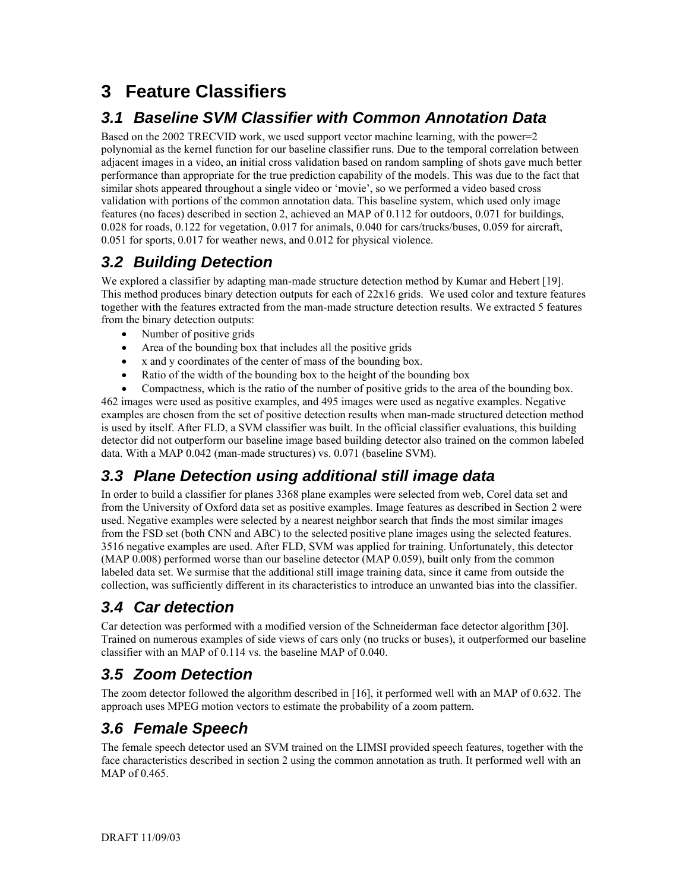# **3 Feature Classifiers**

## *3.1 Baseline SVM Classifier with Common Annotation Data*

Based on the 2002 TRECVID work, we used support vector machine learning, with the power=2 polynomial as the kernel function for our baseline classifier runs. Due to the temporal correlation between adjacent images in a video, an initial cross validation based on random sampling of shots gave much better performance than appropriate for the true prediction capability of the models. This was due to the fact that similar shots appeared throughout a single video or 'movie', so we performed a video based cross validation with portions of the common annotation data. This baseline system, which used only image features (no faces) described in section 2, achieved an MAP of 0.112 for outdoors, 0.071 for buildings, 0.028 for roads, 0.122 for vegetation, 0.017 for animals, 0.040 for cars/trucks/buses, 0.059 for aircraft, 0.051 for sports, 0.017 for weather news, and 0.012 for physical violence.

## *3.2 Building Detection*

We explored a classifier by adapting man-made structure detection method by Kumar and Hebert [19]. This method produces binary detection outputs for each of 22x16 grids. We used color and texture features together with the features extracted from the man-made structure detection results. We extracted 5 features from the binary detection outputs:

- Number of positive grids
- Area of the bounding box that includes all the positive grids
- x and y coordinates of the center of mass of the bounding box.
- Ratio of the width of the bounding box to the height of the bounding box

• Compactness, which is the ratio of the number of positive grids to the area of the bounding box. 462 images were used as positive examples, and 495 images were used as negative examples. Negative examples are chosen from the set of positive detection results when man-made structured detection method is used by itself. After FLD, a SVM classifier was built. In the official classifier evaluations, this building detector did not outperform our baseline image based building detector also trained on the common labeled data. With a MAP 0.042 (man-made structures) vs. 0.071 (baseline SVM).

### *3.3 Plane Detection using additional still image data*

In order to build a classifier for planes 3368 plane examples were selected from web, Corel data set and from the University of Oxford data set as positive examples. Image features as described in Section 2 were used. Negative examples were selected by a nearest neighbor search that finds the most similar images from the FSD set (both CNN and ABC) to the selected positive plane images using the selected features. 3516 negative examples are used. After FLD, SVM was applied for training. Unfortunately, this detector (MAP 0.008) performed worse than our baseline detector (MAP 0.059), built only from the common labeled data set. We surmise that the additional still image training data, since it came from outside the collection, was sufficiently different in its characteristics to introduce an unwanted bias into the classifier.

### *3.4 Car detection*

Car detection was performed with a modified version of the Schneiderman face detector algorithm [30]. Trained on numerous examples of side views of cars only (no trucks or buses), it outperformed our baseline classifier with an MAP of 0.114 vs. the baseline MAP of 0.040.

## *3.5 Zoom Detection*

The zoom detector followed the algorithm described in [16], it performed well with an MAP of 0.632. The approach uses MPEG motion vectors to estimate the probability of a zoom pattern.

## *3.6 Female Speech*

The female speech detector used an SVM trained on the LIMSI provided speech features, together with the face characteristics described in section 2 using the common annotation as truth. It performed well with an MAP of 0.465.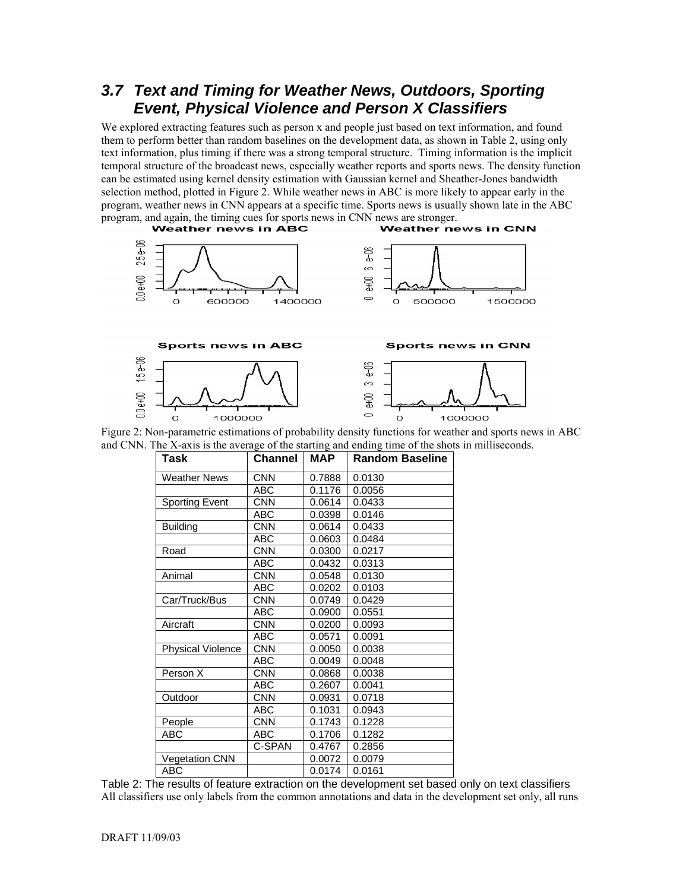### *3.7 Text and Timing for Weather News, Outdoors, Sporting Event, Physical Violence and Person X Classifiers*

We explored extracting features such as person x and people just based on text information, and found them to perform better than random baselines on the development data, as shown in Table 2, using only text information, plus timing if there was a strong temporal structure. Timing information is the implicit temporal structure of the broadcast news, especially weather reports and sports news. The density function can be estimated using kernel density estimation with Gaussian kernel and Sheather-Jones bandwidth selection method, plotted in Figure 2. While weather news in ABC is more likely to appear early in the program, weather news in CNN appears at a specific time. Sports news is usually shown late in the ABC program, and again, the timing cues for sports news in CNN news are stronger.<br> **Weather news in ABC**<br> **Weather news in CNN** 





 $\sim$ 

| Task                     | <b>Channel</b> | MAP    | <b>Random Baseline</b> |
|--------------------------|----------------|--------|------------------------|
| <b>Weather News</b>      | <b>CNN</b>     | 0.7888 | 0.0130                 |
|                          | ABC            | 0.1176 | 0.0056                 |
| <b>Sporting Event</b>    | <b>CNN</b>     | 0.0614 | 0.0433                 |
|                          | <b>ABC</b>     | 0.0398 | 0.0146                 |
| <b>Building</b>          | <b>CNN</b>     | 0.0614 | 0.0433                 |
|                          | <b>ABC</b>     | 0.0603 | 0.0484                 |
| Road                     | <b>CNN</b>     | 0.0300 | 0.0217                 |
|                          | <b>ABC</b>     | 0.0432 | 0.0313                 |
| Animal                   | <b>CNN</b>     | 0.0548 | 0.0130                 |
|                          | <b>ABC</b>     | 0.0202 | 0.0103                 |
| Car/Truck/Bus            | <b>CNN</b>     | 0.0749 | 0.0429                 |
|                          | ABC            | 0.0900 | 0.0551                 |
| Aircraft                 | <b>CNN</b>     | 0.0200 | 0.0093                 |
|                          | <b>ABC</b>     | 0.0571 | 0.0091                 |
| <b>Physical Violence</b> | <b>CNN</b>     | 0.0050 | 0.0038                 |
|                          | ABC            | 0.0049 | 0.0048                 |
| Person X                 | <b>CNN</b>     | 0.0868 | 0.0038                 |
|                          | <b>ABC</b>     | 0.2607 | 0.0041                 |
| Outdoor                  | <b>CNN</b>     | 0.0931 | 0.0718                 |
|                          | <b>ABC</b>     | 0.1031 | 0.0943                 |
| People                   | CNN            | 0.1743 | 0.1228                 |
| ABC                      | ABC            | 0.1706 | 0.1282                 |
|                          | C-SPAN         | 0.4767 | 0.2856                 |
| <b>Vegetation CNN</b>    |                | 0.0072 | 0.0079                 |
| <b>ABC</b>               |                | 0.0174 | 0.0161                 |

Table 2: The results of feature extraction on the development set based only on text classifiers All classifiers use only labels from the common annotations and data in the development set only, all runs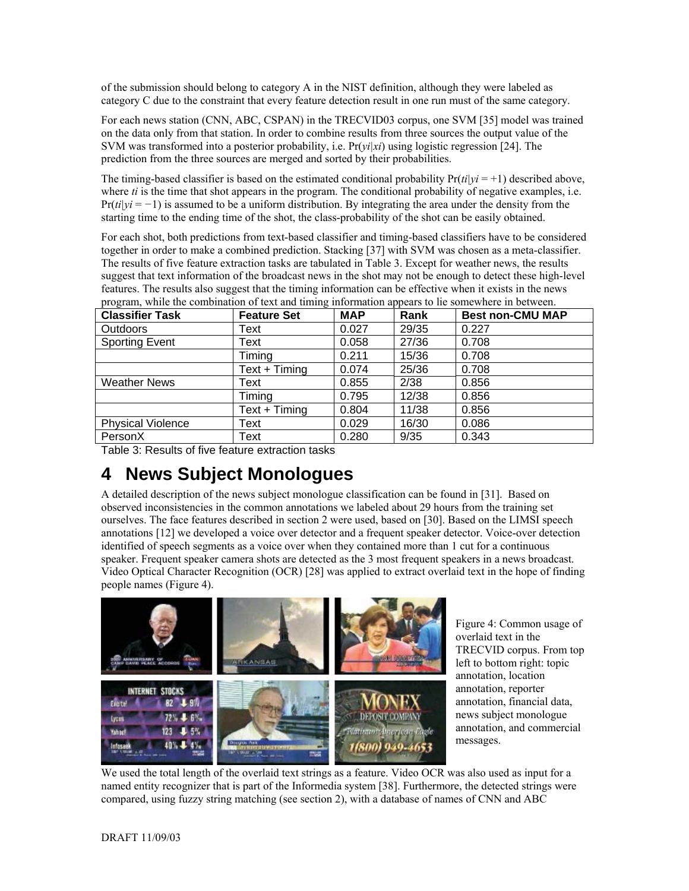of the submission should belong to category A in the NIST definition, although they were labeled as category C due to the constraint that every feature detection result in one run must of the same category.

For each news station (CNN, ABC, CSPAN) in the TRECVID03 corpus, one SVM [35] model was trained on the data only from that station. In order to combine results from three sources the output value of the SVM was transformed into a posterior probability, i.e. Pr(*yi|xi*) using logistic regression [24]. The prediction from the three sources are merged and sorted by their probabilities.

The timing-based classifier is based on the estimated conditional probability  $Pr(i|y|i = +1)$  described above, where *ti* is the time that shot appears in the program. The conditional probability of negative examples, i.e. Pr(*ti|yi* = *−*1) is assumed to be a uniform distribution. By integrating the area under the density from the starting time to the ending time of the shot, the class-probability of the shot can be easily obtained.

For each shot, both predictions from text-based classifier and timing-based classifiers have to be considered together in order to make a combined prediction. Stacking [37] with SVM was chosen as a meta-classifier. The results of five feature extraction tasks are tabulated in Table 3. Except for weather news, the results suggest that text information of the broadcast news in the shot may not be enough to detect these high-level features. The results also suggest that the timing information can be effective when it exists in the news program, while the combination of text and timing information appears to lie somewhere in between.

| <b>Classifier Task</b>   | <b>Feature Set</b> | <b>MAP</b> | Rank  | <b>Best non-CMU MAP</b> |
|--------------------------|--------------------|------------|-------|-------------------------|
| <b>Outdoors</b>          | Text               | 0.027      | 29/35 | 0.227                   |
| <b>Sporting Event</b>    | Text               | 0.058      | 27/36 | 0.708                   |
|                          | Timing             | 0.211      | 15/36 | 0.708                   |
|                          | $Text + Timing$    | 0.074      | 25/36 | 0.708                   |
| <b>Weather News</b>      | Text               | 0.855      | 2/38  | 0.856                   |
|                          | Timing             | 0.795      | 12/38 | 0.856                   |
|                          | Text + Timing      | 0.804      | 11/38 | 0.856                   |
| <b>Physical Violence</b> | Text               | 0.029      | 16/30 | 0.086                   |
| PersonX                  | Text               | 0.280      | 9/35  | 0.343                   |

Table 3: Results of five feature extraction tasks

# **4 News Subject Monologues**

A detailed description of the news subject monologue classification can be found in [31]. Based on observed inconsistencies in the common annotations we labeled about 29 hours from the training set ourselves. The face features described in section 2 were used, based on [30]. Based on the LIMSI speech annotations [12] we developed a voice over detector and a frequent speaker detector. Voice-over detection identified of speech segments as a voice over when they contained more than 1 cut for a continuous speaker. Frequent speaker camera shots are detected as the 3 most frequent speakers in a news broadcast. Video Optical Character Recognition (OCR) [28] was applied to extract overlaid text in the hope of finding people names (Figure 4).



Figure 4: Common usage of overlaid text in the TRECVID corpus. From top left to bottom right: topic annotation, location annotation, reporter annotation, financial data, news subject monologue annotation, and commercial messages.

We used the total length of the overlaid text strings as a feature. Video OCR was also used as input for a named entity recognizer that is part of the Informedia system [38]. Furthermore, the detected strings were compared, using fuzzy string matching (see section 2), with a database of names of CNN and ABC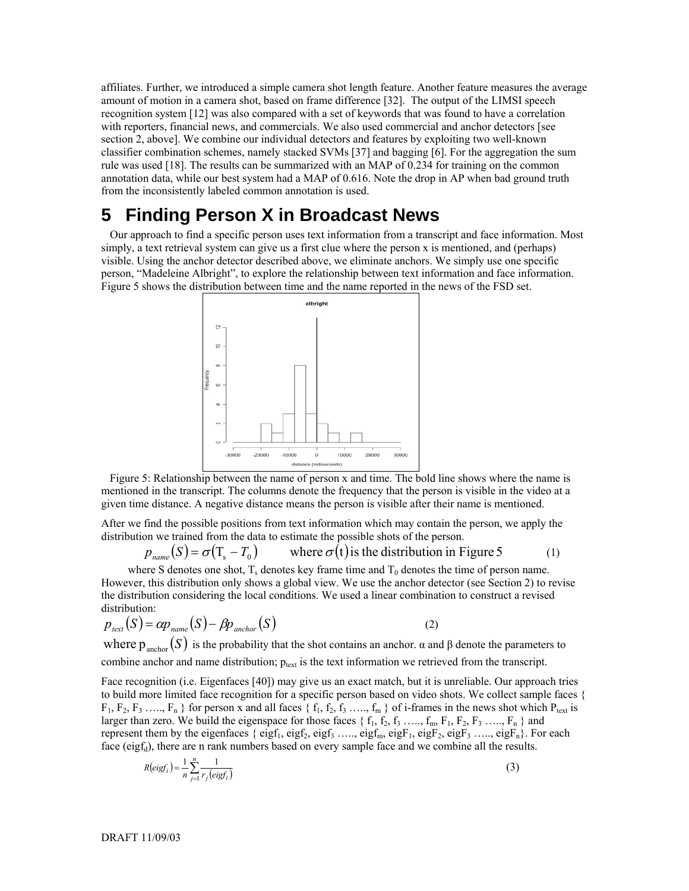affiliates. Further, we introduced a simple camera shot length feature. Another feature measures the average amount of motion in a camera shot, based on frame difference [32]. The output of the LIMSI speech recognition system [12] was also compared with a set of keywords that was found to have a correlation with reporters, financial news, and commercials. We also used commercial and anchor detectors [see section 2, above]. We combine our individual detectors and features by exploiting two well-known classifier combination schemes, namely stacked SVMs [37] and bagging [6]. For the aggregation the sum rule was used [18]. The results can be summarized with an MAP of 0.234 for training on the common annotation data, while our best system had a MAP of 0.616. Note the drop in AP when bad ground truth from the inconsistently labeled common annotation is used.

### **5 Finding Person X in Broadcast News**

Our approach to find a specific person uses text information from a transcript and face information. Most simply, a text retrieval system can give us a first clue where the person x is mentioned, and (perhaps) visible. Using the anchor detector described above, we eliminate anchors. We simply use one specific person, "Madeleine Albright", to explore the relationship between text information and face information. Figure 5 shows the distribution between time and the name reported in the news of the FSD set.



Figure 5: Relationship between the name of person x and time. The bold line shows where the name is mentioned in the transcript. The columns denote the frequency that the person is visible in the video at a given time distance. A negative distance means the person is visible after their name is mentioned.

After we find the possible positions from text information which may contain the person, we apply the distribution we trained from the data to estimate the possible shots of the person.

$$
p_{name}(S) = \sigma(T_s - T_0)
$$
 where  $\sigma(t)$  is the distribution in Figure 5 (1)

where S denotes one shot,  $T_s$  denotes key frame time and  $T_0$  denotes the time of person name. However, this distribution only shows a global view. We use the anchor detector (see Section 2) to revise the distribution considering the local conditions. We used a linear combination to construct a revised distribution:

$$
p_{\text{text}}(S) = \alpha p_{\text{name}}(S) - \beta p_{\text{anchor}}(S)
$$
 (2)

where  $p_{\text{anchor}}(S)$  is the probability that the shot contains an anchor.  $\alpha$  and  $\beta$  denote the parameters to combine anchor and name distribution;  $p_{text}$  is the text information we retrieved from the transcript.

Face recognition (i.e. Eigenfaces [40]) may give us an exact match, but it is unreliable. Our approach tries to build more limited face recognition for a specific person based on video shots. We collect sample faces {  $F_1, F_2, F_3, \ldots, F_n$  for person x and all faces  $\{f_1, f_2, f_3, \ldots, f_m\}$  of i-frames in the news shot which  $P_{text}$  is larger than zero. We build the eigenspace for those faces  $\{f_1, f_2, f_3, \ldots, f_m, F_1, F_2, F_3, \ldots, F_n\}$  and represent them by the eigenfaces { eigf<sub>1</sub>, eigf<sub>2</sub>, eigf<sub>3</sub> ……, eigf<sub>m</sub>, eigF<sub>1</sub>, eigF<sub>2</sub>, eigF<sub>3</sub> ……, eigF<sub>n</sub>}. For each face (eig $f_d$ ), there are n rank numbers based on every sample face and we combine all the results.

$$
R\left\{eigf_i\right\} = \frac{1}{n} \sum_{j=1}^{n} \frac{1}{r_j\left(eigf_i\right)}\tag{3}
$$

DRAFT 11/09/03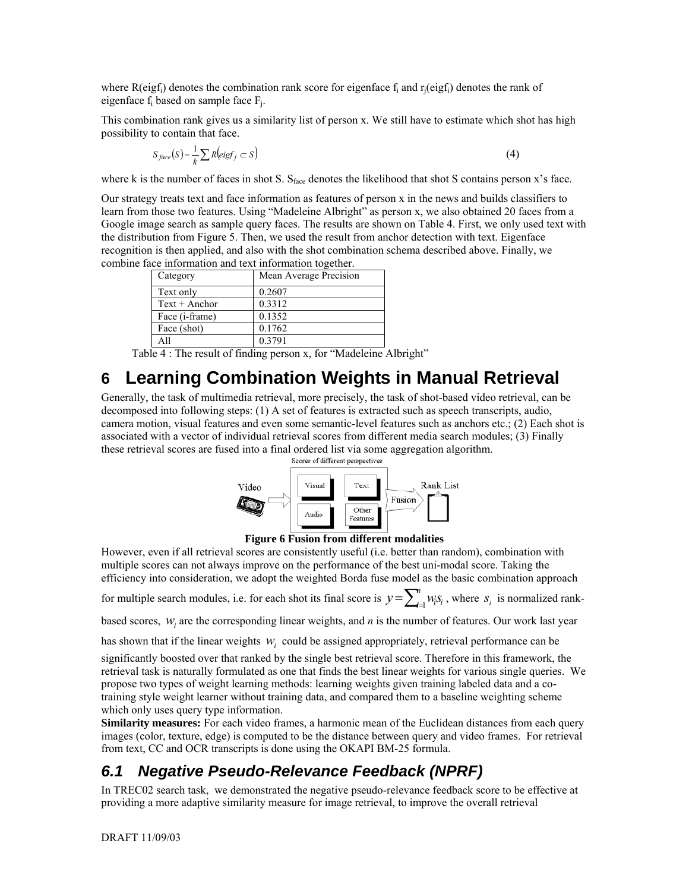where  $R(eigf_i)$  denotes the combination rank score for eigenface  $f_i$  and  $r_i(eigf_i)$  denotes the rank of eigenface  $f_i$  based on sample face  $F_i$ .

This combination rank gives us a similarity list of person x. We still have to estimate which shot has high possibility to contain that face.

$$
S_{face}(S) = \frac{1}{k} \sum R\left(eigf_j \subset S\right) \tag{4}
$$

where k is the number of faces in shot S. S<sub>face</sub> denotes the likelihood that shot S contains person x's face.

Our strategy treats text and face information as features of person x in the news and builds classifiers to learn from those two features. Using "Madeleine Albright" as person x, we also obtained 20 faces from a Google image search as sample query faces. The results are shown on Table 4. First, we only used text with the distribution from Figure 5. Then, we used the result from anchor detection with text. Eigenface recognition is then applied, and also with the shot combination schema described above. Finally, we combine face information and text information together.

| Category                | Mean Average Precision |
|-------------------------|------------------------|
| Text only               | 0.2607                 |
| $Text + Anchor$         | 0.3312                 |
| Face ( <i>i</i> -frame) | 0.1352                 |
| Face (shot)             | 0.1762                 |
| A11                     | 0 3 7 9 1              |

Table 4 : The result of finding person x, for "Madeleine Albright"

# **6 Learning Combination Weights in Manual Retrieval**

Generally, the task of multimedia retrieval, more precisely, the task of shot-based video retrieval, can be decomposed into following steps: (1) A set of features is extracted such as speech transcripts, audio, camera motion, visual features and even some semantic-level features such as anchors etc.; (2) Each shot is associated with a vector of individual retrieval scores from different media search modules; (3) Finally these retrieval scores are fused into a final ordered list via some aggregation algorithm.<br>Scores of different perspectives





However, even if all retrieval scores are consistently useful (i.e. better than random), combination with multiple scores can not always improve on the performance of the best uni-modal score. Taking the efficiency into consideration, we adopt the weighted Borda fuse model as the basic combination approach

for multiple search modules, i.e. for each shot its final score is  $y = \sum_{i=1}^{n} w_i s_i$ , where  $s_i$  is normalized rank-

based scores,  $w_i$  are the corresponding linear weights, and  $n$  is the number of features. Our work last year

has shown that if the linear weights  $w_i$  could be assigned appropriately, retrieval performance can be

significantly boosted over that ranked by the single best retrieval score. Therefore in this framework, the retrieval task is naturally formulated as one that finds the best linear weights for various single queries. We propose two types of weight learning methods: learning weights given training labeled data and a cotraining style weight learner without training data, and compared them to a baseline weighting scheme which only uses query type information.

**Similarity measures:** For each video frames, a harmonic mean of the Euclidean distances from each query images (color, texture, edge) is computed to be the distance between query and video frames. For retrieval from text, CC and OCR transcripts is done using the OKAPI BM-25 formula.

### *6.1 Negative Pseudo-Relevance Feedback (NPRF)*

In TREC02 search task, we demonstrated the negative pseudo-relevance feedback score to be effective at providing a more adaptive similarity measure for image retrieval, to improve the overall retrieval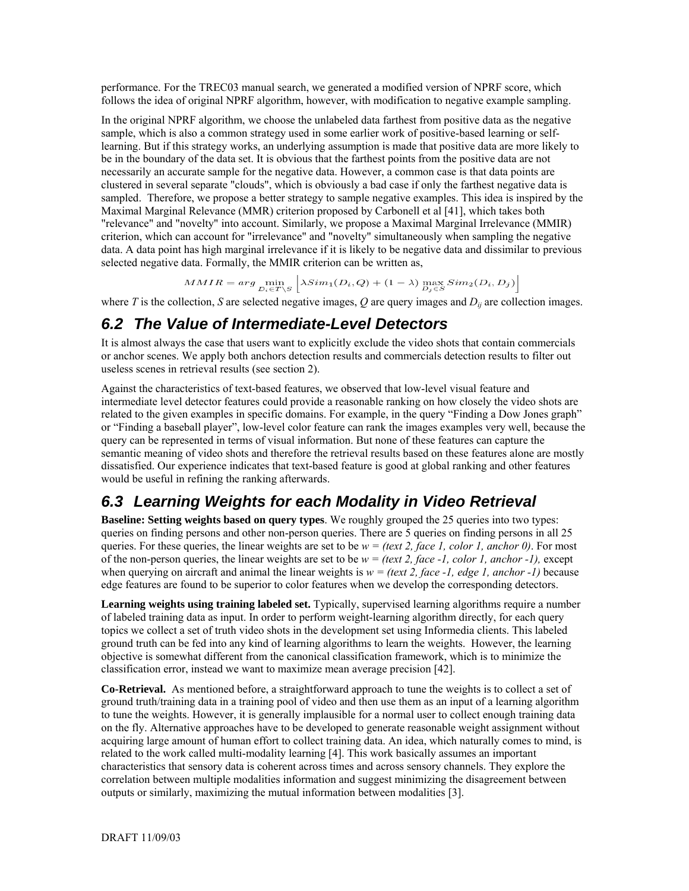performance. For the TREC03 manual search, we generated a modified version of NPRF score, which follows the idea of original NPRF algorithm, however, with modification to negative example sampling.

In the original NPRF algorithm, we choose the unlabeled data farthest from positive data as the negative sample, which is also a common strategy used in some earlier work of positive-based learning or selflearning. But if this strategy works, an underlying assumption is made that positive data are more likely to be in the boundary of the data set. It is obvious that the farthest points from the positive data are not necessarily an accurate sample for the negative data. However, a common case is that data points are clustered in several separate "clouds", which is obviously a bad case if only the farthest negative data is sampled. Therefore, we propose a better strategy to sample negative examples. This idea is inspired by the Maximal Marginal Relevance (MMR) criterion proposed by Carbonell et al [41], which takes both "relevance" and "novelty" into account. Similarly, we propose a Maximal Marginal Irrelevance (MMIR) criterion, which can account for "irrelevance" and "novelty" simultaneously when sampling the negative data. A data point has high marginal irrelevance if it is likely to be negative data and dissimilar to previous selected negative data. Formally, the MMIR criterion can be written as,

$$
MMIR = arg \min_{D_i \in T \setminus S} \left| \lambda Sim_1(D_i, Q) + (1 - \lambda) \max_{D_i \in S} Sim_2(D_i, D_j) \right|
$$

where *T* is the collection, *S* are selected negative images,  $Q$  are query images and  $D_{ij}$  are collection images.

#### *6.2 The Value of Intermediate-Level Detectors*

It is almost always the case that users want to explicitly exclude the video shots that contain commercials or anchor scenes. We apply both anchors detection results and commercials detection results to filter out useless scenes in retrieval results (see section 2).

Against the characteristics of text-based features, we observed that low-level visual feature and intermediate level detector features could provide a reasonable ranking on how closely the video shots are related to the given examples in specific domains. For example, in the query "Finding a Dow Jones graph" or "Finding a baseball player", low-level color feature can rank the images examples very well, because the query can be represented in terms of visual information. But none of these features can capture the semantic meaning of video shots and therefore the retrieval results based on these features alone are mostly dissatisfied. Our experience indicates that text-based feature is good at global ranking and other features would be useful in refining the ranking afterwards.

#### *6.3 Learning Weights for each Modality in Video Retrieval*

**Baseline: Setting weights based on query types**. We roughly grouped the 25 queries into two types: queries on finding persons and other non-person queries. There are 5 queries on finding persons in all 25 queries. For these queries, the linear weights are set to be  $w = (text 2, face 1, color 1, anchor 0)$ . For most of the non-person queries, the linear weights are set to be  $w = (text 2, face -1, color 1, anchor -1)$ , except when querying on aircraft and animal the linear weights is  $w = (text 2, face -1, edge 1, anchor -1)$  because edge features are found to be superior to color features when we develop the corresponding detectors.

**Learning weights using training labeled set.** Typically, supervised learning algorithms require a number of labeled training data as input. In order to perform weight-learning algorithm directly, for each query topics we collect a set of truth video shots in the development set using Informedia clients. This labeled ground truth can be fed into any kind of learning algorithms to learn the weights. However, the learning objective is somewhat different from the canonical classification framework, which is to minimize the classification error, instead we want to maximize mean average precision [42].

**Co-Retrieval.** As mentioned before, a straightforward approach to tune the weights is to collect a set of ground truth/training data in a training pool of video and then use them as an input of a learning algorithm to tune the weights. However, it is generally implausible for a normal user to collect enough training data on the fly. Alternative approaches have to be developed to generate reasonable weight assignment without acquiring large amount of human effort to collect training data. An idea, which naturally comes to mind, is related to the work called multi-modality learning [4]. This work basically assumes an important characteristics that sensory data is coherent across times and across sensory channels. They explore the correlation between multiple modalities information and suggest minimizing the disagreement between outputs or similarly, maximizing the mutual information between modalities [3].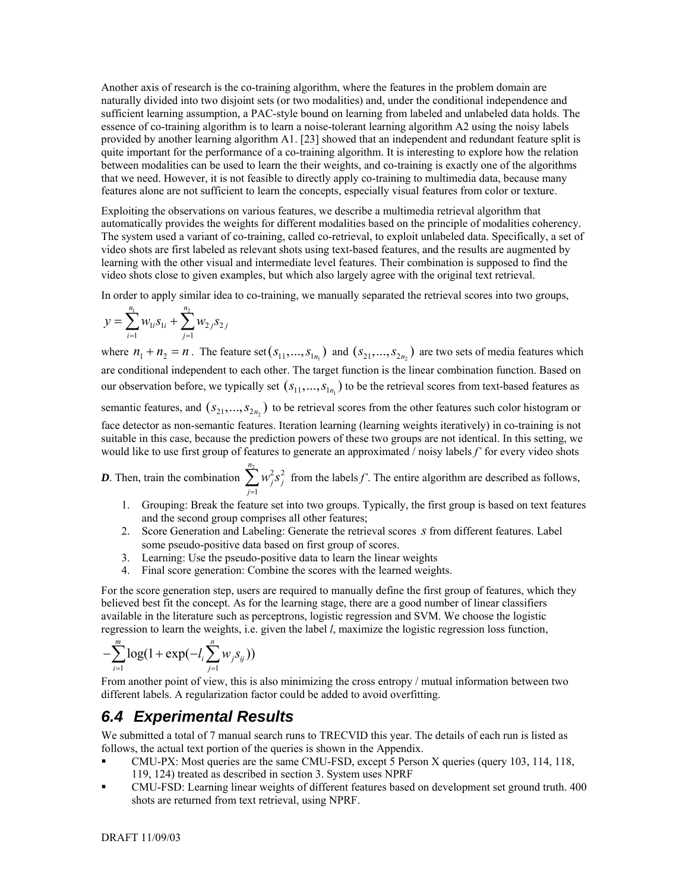Another axis of research is the co-training algorithm, where the features in the problem domain are naturally divided into two disjoint sets (or two modalities) and, under the conditional independence and sufficient learning assumption, a PAC-style bound on learning from labeled and unlabeled data holds. The essence of co-training algorithm is to learn a noise-tolerant learning algorithm A2 using the noisy labels provided by another learning algorithm A1. [23] showed that an independent and redundant feature split is quite important for the performance of a co-training algorithm. It is interesting to explore how the relation between modalities can be used to learn the their weights, and co-training is exactly one of the algorithms that we need. However, it is not feasible to directly apply co-training to multimedia data, because many features alone are not sufficient to learn the concepts, especially visual features from color or texture.

Exploiting the observations on various features, we describe a multimedia retrieval algorithm that automatically provides the weights for different modalities based on the principle of modalities coherency. The system used a variant of co-training, called co-retrieval, to exploit unlabeled data. Specifically, a set of video shots are first labeled as relevant shots using text-based features, and the results are augmented by learning with the other visual and intermediate level features. Their combination is supposed to find the video shots close to given examples, but which also largely agree with the original text retrieval.

In order to apply similar idea to co-training, we manually separated the retrieval scores into two groups,

$$
y = \sum_{i=1}^{n_1} w_{1i} s_{1i} + \sum_{j=1}^{n_2} w_{2j} s_{2j}
$$

where  $n_1 + n_2 = n$ . The feature set  $(s_{11},...,s_{1n_1})$  and  $(s_{21},...,s_{2n_2})$  are two sets of media features which are conditional independent to each other. The target function is the linear combination function. Based on our observation before, we typically set  $(s_{11},...,s_{1n_1})$  to be the retrieval scores from text-based features as semantic features, and  $(s_{21},...,s_{2n_2})$  to be retrieval scores from the other features such color histogram or face detector as non-semantic features. Iteration learning (learning weights iteratively) in co-training is not suitable in this case, because the prediction powers of these two groups are not identical. In this setting, we would like to use first group of features to generate an approximated / noisy labels *f'* for every video shots

*D*. Then, train the combination  $\sum_{i=1}^{n_2} w_i^2 s_i^2$  from the labels *f'*. The entire algorithm are described as follows, 1 *n j j j*  $w_i^2$ *s*  $\sum_{j=1}^n$ 

- 1. Grouping: Break the feature set into two groups. Typically, the first group is based on text features and the second group comprises all other features;
- 2. Score Generation and Labeling: Generate the retrieval scores *s* from different features. Label some pseudo-positive data based on first group of scores.
- 3. Learning: Use the pseudo-positive data to learn the linear weights
- 4. Final score generation: Combine the scores with the learned weights.

For the score generation step, users are required to manually define the first group of features, which they believed best fit the concept. As for the learning stage, there are a good number of linear classifiers available in the literature such as perceptrons, logistic regression and SVM. We choose the logistic regression to learn the weights, i.e. given the label *l*, maximize the logistic regression loss function,

$$
-\sum_{i=1}^{m} \log(1 + \exp(-l_i \sum_{j=1}^{n} w_j s_{ij}))
$$

From another point of view, this is also minimizing the cross entropy / mutual information between two different labels. A regularization factor could be added to avoid overfitting.

#### *6.4 Experimental Results*

We submitted a total of 7 manual search runs to TRECVID this year. The details of each run is listed as follows, the actual text portion of the queries is shown in the Appendix.

- CMU-PX: Most queries are the same CMU-FSD, except 5 Person X queries (query 103, 114, 118, 119, 124) treated as described in section 3. System uses NPRF
- CMU-FSD: Learning linear weights of different features based on development set ground truth. 400 shots are returned from text retrieval, using NPRF.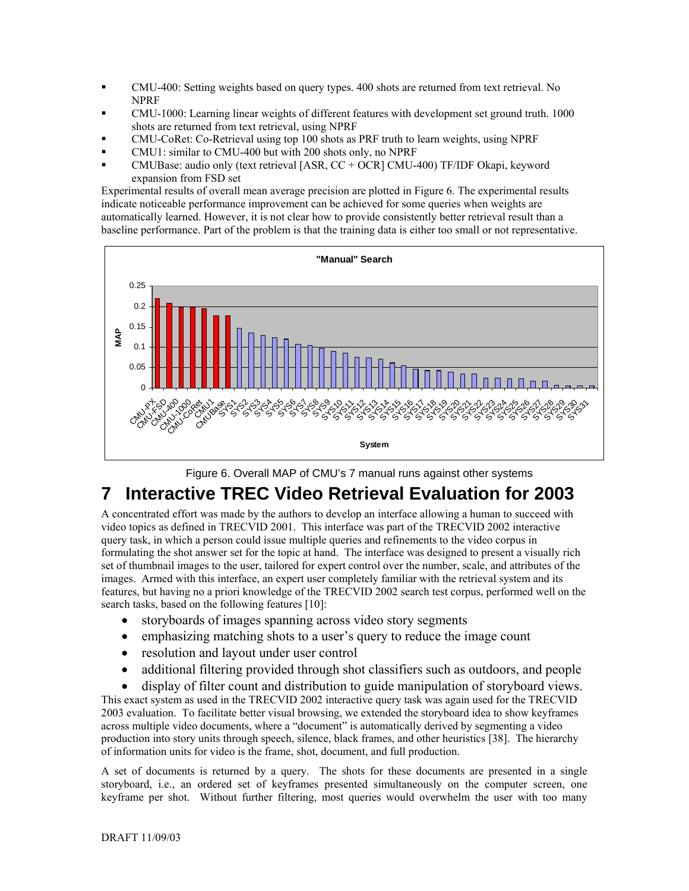- CMU-400: Setting weights based on query types. 400 shots are returned from text retrieval. No NPRF
- CMU-1000: Learning linear weights of different features with development set ground truth. 1000 shots are returned from text retrieval, using NPRF
- CMU-CoRet: Co-Retrieval using top 100 shots as PRF truth to learn weights, using NPRF
- CMU1: similar to CMU-400 but with 200 shots only, no NPRF
- CMUBase: audio only (text retrieval [ASR, CC + OCR] CMU-400) TF/IDF Okapi, keyword expansion from FSD set

Experimental results of overall mean average precision are plotted in Figure 6. The experimental results indicate noticeable performance improvement can be achieved for some queries when weights are automatically learned. However, it is not clear how to provide consistently better retrieval result than a baseline performance. Part of the problem is that the training data is either too small or not representative.





# **7 Interactive TREC Video Retrieval Evaluation for 2003**

formulating the shot answer set for the topic at hand. The interface was designed to present a visually rich A concentrated effort was made by the authors to develop an interface allowing a human to succeed with video topics as defined in TRECVID 2001. This interface was part of the TRECVID 2002 interactive query task, in which a person could issue multiple queries and refinements to the video corpus in set of thumbnail images to the user, tailored for expert control over the number, scale, and attributes of the images. Armed with this interface, an expert user completely familiar with the retrieval system and its features, but having no a priori knowledge of the TRECVID 2002 search test corpus, performed well on the search tasks, based on the following features [10]:

- storyboards of images spanning across video story segments
- emphasizing matching shots to a user's query to reduce the image count
- resolution and layout under user control
- additional filtering provided through shot classifiers such as outdoors, and people

This exa ct system as used in the TRECVID 2002 interactive query task was again used for the TRECVID • display of filter count and distribution to guide manipulation of storyboard views. 2003 evaluation. To facilitate better visual browsing, we extended the storyboard idea to show keyframes across multiple video documents, where a "document" is automatically derived by segmenting a video production into story units through speech, silence, black frames, and other heuristics [38]. The hierarchy of information units for video is the frame, shot, document, and full production.

A set of documents is returned by a query. The shots for these documents are presented in a single storyboard, i.e., an ordered set of keyframes presented simultaneously on the computer screen, one keyframe per shot. Without further filtering, most queries would overwhelm the user with too many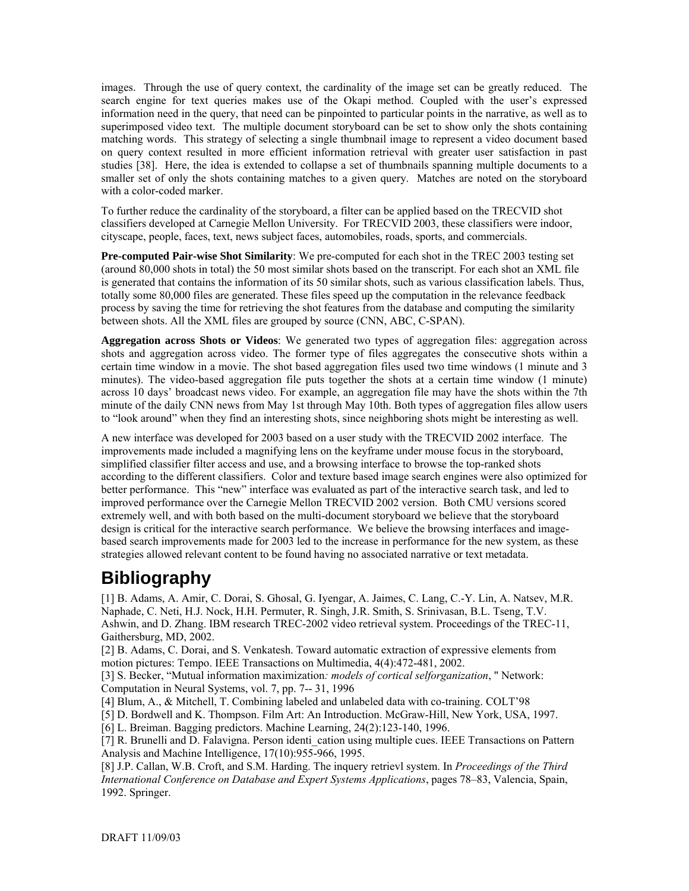images. Through the use of query context, the cardinality of the image set can be greatly reduced. The search engine for text queries makes use of the Okapi method. Coupled with the user's expressed information need in the query, that need can be pinpointed to particular points in the narrative, as well as to superimposed video text. The multiple document storyboard can be set to show only the shots containing matching words. This strategy of selecting a single thumbnail image to represent a video document based on query context resulted in more efficient information retrieval with greater user satisfaction in past studies [38]. Here, the idea is extended to collapse a set of thumbnails spanning multiple documents to a smaller set of only the shots containing matches to a given query. Matches are noted on the storyboard with a color-coded marker.

To further reduce the cardinality of the storyboard, a filter can be applied based on the TRECVID shot classifiers developed at Carnegie Mellon University. For TRECVID 2003, these classifiers were indoor, cityscape, people, faces, text, news subject faces, automobiles, roads, sports, and commercials.

is generated that contains the information of its 50 similar shots, such as various classification labels. Thus, **Pre-computed Pair-wise Shot Similarity**: We pre-computed for each shot in the TREC 2003 testing set (around 80,000 shots in total) the 50 most similar shots based on the transcript. For each shot an XML file totally some 80,000 files are generated. These files speed up the computation in the relevance feedback process by saving the time for retrieving the shot features from the database and computing the similarity between shots. All the XML files are grouped by source (CNN, ABC, C-SPAN).

Aggregation across Shots or Videos: We generated two types of aggregation files: aggregation across certain time window in a movie. The shot based aggregation files used two time windows (1 minute and 3 shots and aggregation across video. The former type of files aggregates the consecutive shots within a minutes). The video-based aggregation file puts together the shots at a certain time window (1 minute) across 10 days' broadcast news video. For example, an aggregation file may have the shots within the 7th minute of the daily CNN news from May 1st through May 10th. Both types of aggregation files allow users to "look around" when they find an interesting shots, since neighboring shots might be interesting as well.

according to the different classifiers. Color and texture based image search engines were also optimized for improved performance over the Carnegie Mellon TRECVID 2002 version. Both CMU versions scored based search improvements made for 2003 led to the increase in performance for the new system, as these A new interface was developed for 2003 based on a user study with the TRECVID 2002 interface. The improvements made included a magnifying lens on the keyframe under mouse focus in the storyboard, simplified classifier filter access and use, and a browsing interface to browse the top-ranked shots better performance. This "new" interface was evaluated as part of the interactive search task, and led to extremely well, and with both based on the multi-document storyboard we believe that the storyboard design is critical for the interactive search performance. We believe the browsing interfaces and imagestrategies allowed relevant content to be found having no associated narrative or text metadata.

# **Bibliography**

[1] B. Adams, A. Amir, C. Dorai, S. Ghosal, G. Iyengar, A. Jaimes, C. Lang, C.-Y. Lin, A. Natsev, M.R. Naphade, C. Neti, H.J. Nock, H.H. Permuter, R. Singh, J.R. Smith, S. Srinivasan, B.L. Tseng, T.V. Ashwin, and D. Zhang. IBM research TREC-2002 video retrieval system. Proceedings of the TREC-11, Gaithersburg, MD, 2002.

[2] B. Adams, C. Dorai, and S. Venkatesh. Toward automatic extraction of expressive elements from motion pictures: Tempo. IEEE Transactions on Multimedia, 4(4):472-481, 2002.

[3] S. Becker, "Mutual information maximization: *models of cortical selforganization*, " Network: Computation in Neural Systems, vol. 7, pp. 7-- 31, 1996

[4] Blum, A., & Mitchell, T. Combining labeled and unlabeled data with co-training. COLT'98

[5] D. Bordwell and K. Thompson. Film Art: An Introduction. McGraw-Hill, New York, USA, 1997.

[6] L. Breiman. Bagging predictors. Machine Learning, 24(2):123-140, 1996.

[7] R. Brunelli and D. Falavigna. Person identi\_cation using multiple cues. IEEE Transactions on Pattern Analysis and Machine Intelligence, 17(10):955-966, 1995.

[8] J.P. Callan, W.B. Croft, and S.M. Harding. The inquery retrievl system. In *Proceedings of the Third International Conference on Database and Expert Systems Applications*, pages 78–83, Valencia, Spain, 1992. Springer.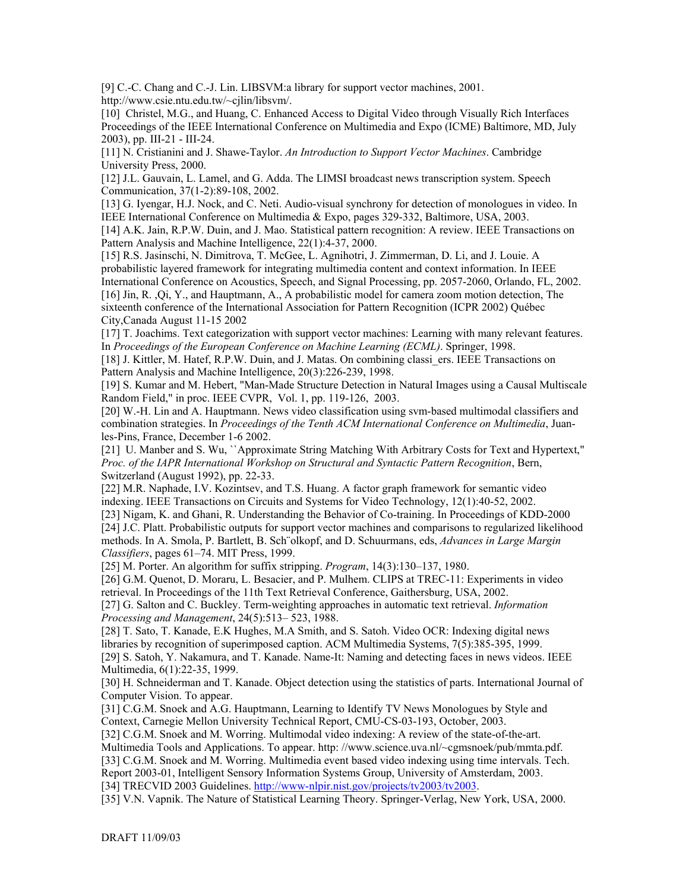[9] C.-C. Chang and C.-J. Lin. LIBSVM:a library for support vector machines, 2001. http://www.csie.ntu.edu.tw/~cjlin/libsvm/.

[10] Christel, M.G., and Huang, C. Enhanced Access to Digital Video through Visually Rich Interfaces Proceedings of the IEEE International Conference on Multimedia and Expo (ICME) Baltimore, MD, July 2003), pp. III-21 - III-24.

[11] N. Cristianini and J. Shawe-Taylor. *An Introduction to Support Vector Machines*. Cambridge University Press, 2000.

[12] J.L. Gauvain, L. Lamel, and G. Adda. The LIMSI broadcast news transcription system. Speech Communication, 37(1-2):89-108, 2002.

[13] G. Iyengar, H.J. Nock, and C. Neti. Audio-visual synchrony for detection of monologues in video. In IEEE International Conference on Multimedia & Expo, pages 329-332, Baltimore, USA, 2003.

[14] A.K. Jain, R.P.W. Duin, and J. Mao. Statistical pattern recognition: A review. IEEE Transactions on Pattern Analysis and Machine Intelligence, 22(1):4-37, 2000.

International Conference on Acoustics, Speech, and Signal Processing, pp. 2057-2060, Orlando, FL, 2002. [16] Jin, R., Qi, Y., and Hauptmann, A., A probabilistic model for camera zoom motion detection, The [15] R.S. Jasinschi, N. Dimitrova, T. McGee, L. Agnihotri, J. Zimmerman, D. Li, and J. Louie. A probabilistic layered framework for integrating multimedia content and context information. In IEEE

sixteenth conference of the International Association for Pattern Recognition (ICPR 2002) Québec City,Canada August 11-15 2002

[17] T. Joachims. Text categorization with support vector machines: Learning with many relevant features. In *Proceedings of the European Conference on Machine Learning (ECML)*. Springer, 1998.

[18] J. Kittler, M. Hatef, R.P.W. Duin, and J. Matas. On combining classi\_ers. IEEE Transactions on Pattern Analysis and Machine Intelligence, 20(3):226-239, 1998.

[19] S. Kumar and M. Hebert, "Man-Made Structure Detection in Natural Images using a Causal Multiscale Random Field," in proc. IEEE CVPR, Vol. 1, pp. 119-126, 2003.

[20] W.-H. Lin and A. Hauptmann. News video classification using svm-based multimodal classifiers and combination strategies. In *Proceedings of the Tenth ACM International Conference on Multimedia*, Juanles-Pins, France, December 1-6 2002.

[21] U. Manber and S. Wu, ``Approximate String Matching With Arbitrary Costs for Text and Hypertext," *Proc. of the IAPR International Workshop on Structural and Syntactic Pattern Recognition*, Bern, Switzerland (August 1992), pp. 22-33.

[22] M.R. Naphade, I.V. Kozintsev, and T.S. Huang. A factor graph framework for semantic video indexing. IEEE Transactions on Circuits and Systems for Video Technology, 12(1):40-52, 2002.

[23] Nigam, K. and Ghani, R. Understanding the Behavior of Co-training. In Proceedings of KDD-2000 [24] J.C. Platt. Probabilistic outputs for support vector machines and comparisons to regularized likelihood methods. In A. Smola, P. Bartlett, B. Sch¨olkopf, and D. Schuurmans, eds, *Advances in Large Margin Classifiers*, pages 61–74. MIT Press, 1999.

[25] M. Porter. An algorithm for suffix stripping. *Program*, 14(3):130–137, 1980.

retrieval. In Proceedings of the 11th Text Retrieval Conference, Gaithersburg, USA, 2002. [26] G.M. Quenot, D. Moraru, L. Besacier, and P. Mulhem. CLIPS at TREC-11: Experiments in video

[27] G. Salton and C. Buckley. Term-weighting approaches in automatic text retrieval. Information *Processing and Management*, 24(5):513– 523, 1988.

[28] T. Sato, T. Kanade, E.K Hughes, M.A Smith, and S. Satoh. Video OCR: Indexing digital news [29] S. Satoh, Y. Nakamura, and T. Kanade. Name-It: Naming and detecting faces in news videos. IEEE libraries by recognition of superimposed caption. ACM Multimedia Systems, 7(5):385-395, 1999. Multimedia, 6(1):22-35, 1999.

[30] H. Schneiderman and T. Kanade. Object detection using the statistics of parts. International Journal of Computer Vision. To appear.

[31] C.G.M. Snoek and A.G. Hauptmann, Learning to Identify TV News Monologues by Style and Context, Carnegie Mellon University Technical Report, CMU-CS-03-193, October, 2003.

[32] C.G.M. Snoek and M. Worring. Multimodal video indexing: A review of the state-of-the-art. Multimedia Tools and Applications. To appear. http://www.science.uva.nl/~cgmsnoek/pub/mmta.pdf. [33] C.G.M. Snoek and M. Worring. Multimedia event based video indexing using time intervals. Tech. Report 2003-01, Intelligent Sensory Information Systems Group, University of Amsterdam, 2003. [34] TRECVID 2003 Guidelines. http://www-nlpir.nist.gov/projects/tv2003/tv2003.

[35] V.N. Vapnik. The Nature of Statistical Learning Theory. Springer-Verlag, New York, USA, 2000.